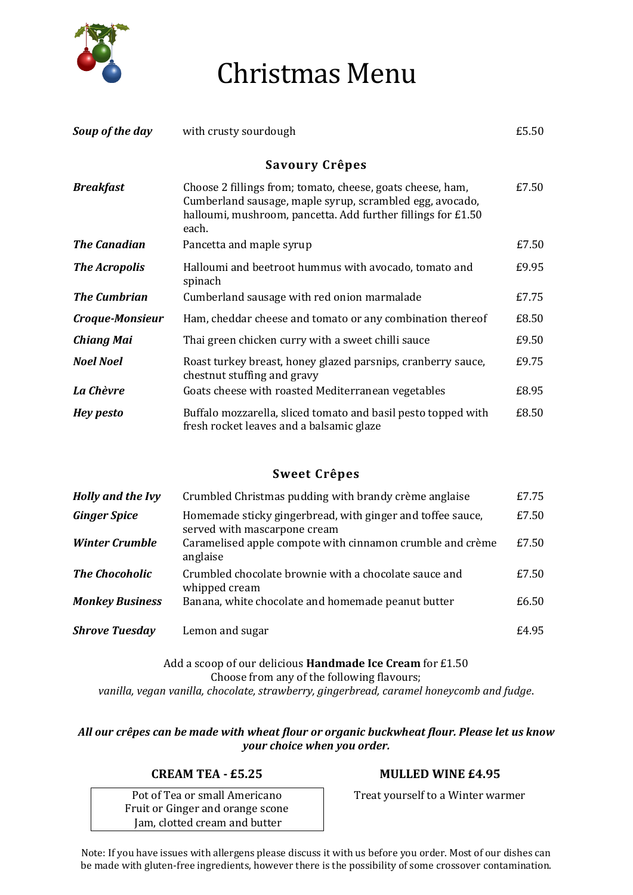

## Christmas Menu

| Soup of the day     | with crusty sourdough                                                                                                                                                                           | £5.50 |
|---------------------|-------------------------------------------------------------------------------------------------------------------------------------------------------------------------------------------------|-------|
|                     | Savoury Crêpes                                                                                                                                                                                  |       |
| <b>Breakfast</b>    | Choose 2 fillings from; tomato, cheese, goats cheese, ham,<br>Cumberland sausage, maple syrup, scrambled egg, avocado,<br>halloumi, mushroom, pancetta. Add further fillings for £1.50<br>each. | £7.50 |
| <b>The Canadian</b> | Pancetta and maple syrup                                                                                                                                                                        | £7.50 |
| The Acropolis       | Halloumi and beetroot hummus with avocado, tomato and<br>spinach                                                                                                                                | £9.95 |
| <b>The Cumbrian</b> | Cumberland sausage with red onion marmalade                                                                                                                                                     | £7.75 |
| Croque-Monsieur     | Ham, cheddar cheese and tomato or any combination thereof                                                                                                                                       | £8.50 |
| Chiang Mai          | Thai green chicken curry with a sweet chilli sauce                                                                                                                                              | £9.50 |
| <b>Noel Noel</b>    | Roast turkey breast, honey glazed parsnips, cranberry sauce,<br>chestnut stuffing and gravy                                                                                                     | £9.75 |
| La Chèvre           | Goats cheese with roasted Mediterranean vegetables                                                                                                                                              | £8.95 |
| <b>Hey pesto</b>    | Buffalo mozzarella, sliced tomato and basil pesto topped with<br>fresh rocket leaves and a balsamic glaze                                                                                       | £8.50 |

## **Sweet Crêpes**

| Holly and the Ivy      | Crumbled Christmas pudding with brandy crème anglaise                                      | £7.75 |
|------------------------|--------------------------------------------------------------------------------------------|-------|
| <b>Ginger Spice</b>    | Homemade sticky gingerbread, with ginger and toffee sauce,<br>served with mascarpone cream | £7.50 |
| <b>Winter Crumble</b>  | Caramelised apple compote with cinnamon crumble and crème<br>anglaise                      | £7.50 |
| <b>The Chocoholic</b>  | Crumbled chocolate brownie with a chocolate sauce and<br>whipped cream                     | £7.50 |
| <b>Monkey Business</b> | Banana, white chocolate and homemade peanut butter                                         | £6.50 |
| <b>Shrove Tuesday</b>  | Lemon and sugar                                                                            | £4.95 |

Add a scoop of our delicious **Handmade Ice Cream** for £1.50 Choose from any of the following flavours; *vanilla, vegan vanilla, chocolate, strawberry, gingerbread, caramel honeycomb and fudge*.

*All our crêpes can be made with wheat flour or organic buckwheat flour. Please let us know your choice when you order.*

Pot of Tea or small Americano Fruit or Ginger and orange scone Jam, clotted cream and butter

## **CREAM TEA - £5.25 MULLED WINE £4.95**

Treat yourself to a Winter warmer

Note: If you have issues with allergens please discuss it with us before you order. Most of our dishes can be made with gluten-free ingredients, however there is the possibility of some crossover contamination.